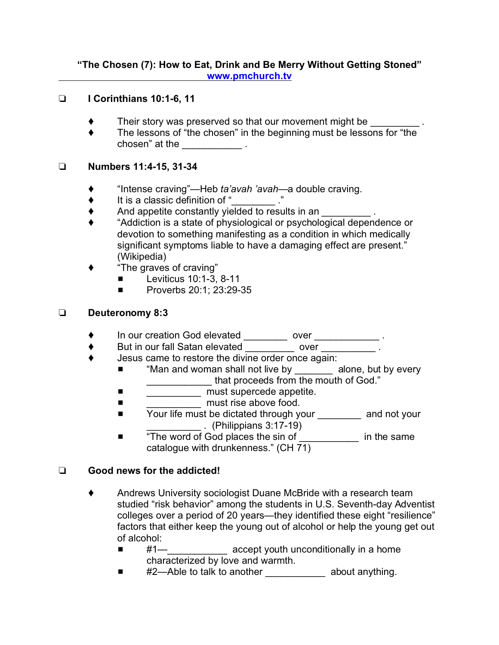#### **"The Chosen (7): How to Eat, Drink and Be Merry Without Getting Stoned" [www.pmchurch.tv](http://www.pmchurch.tv)**

#### **I Corinthians 10:1-6, 11**

- Their story was preserved so that our movement might be
- ◆ The lessons of "the chosen" in the beginning must be lessons for "the chosen" at the \_\_\_\_\_\_\_\_\_\_\_\_\_\_.

### **Numbers 11:4-15, 31-34**

- "Intense craving"—Heb *ta'avah 'avah—*a double craving.
- $\bullet$  It is a classic definition of "
- $\blacklozenge$  And appetite constantly yielded to results in an  $\blacktriangleright$ .
- "Addiction is a state of physiological or psychological dependence or devotion to something manifesting as a condition in which medically significant symptoms liable to have a damaging effect are present." (Wikipedia)
- "The graves of craving"
	- $\blacksquare$  Leviticus 10:1-3, 8-11
	- **E** Proverbs 20:1; 23:29-35

### **Deuteronomy 8:3**

- In our creation God elevated \_\_\_\_\_\_\_\_ over \_\_\_\_\_\_\_\_\_\_\_\_ .
- ◆ But in our fall Satan elevated \_\_\_\_\_\_\_\_\_ over \_\_\_\_\_\_\_\_\_\_\_.
- Jesus came to restore the divine order once again:
	- "Man and woman shall not live by \_\_\_\_\_\_\_ alone, but by every \_\_\_\_\_\_\_\_\_\_\_\_ that proceeds from the mouth of God."
	- \_\_\_\_\_\_\_\_\_\_\_\_\_\_\_ must supercede appetite.
	- $\blacksquare$  must rise above food.
	- Your life must be dictated through your \_\_\_\_\_\_\_\_ and not your \_\_\_\_\_\_\_\_\_\_ . (Philippians 3:17-19)
	- # "The word of God places the sin of \_\_\_\_\_\_\_\_\_\_\_ in the same catalogue with drunkenness." (CH 71)

## **Good news for the addicted!**

- Andrews University sociologist Duane McBride with a research team studied "risk behavior" among the students in U.S. Seventh-day Adventist colleges over a period of 20 years—they identified these eight "resilience" factors that either keep the young out of alcohol or help the young get out of alcohol:
	- #1—\_\_\_\_\_\_\_\_\_\_\_\_\_\_\_\_ accept youth unconditionally in a home characterized by love and warmth.
	- #2—Able to talk to another \_\_\_\_\_\_\_\_\_\_\_\_ about anything.